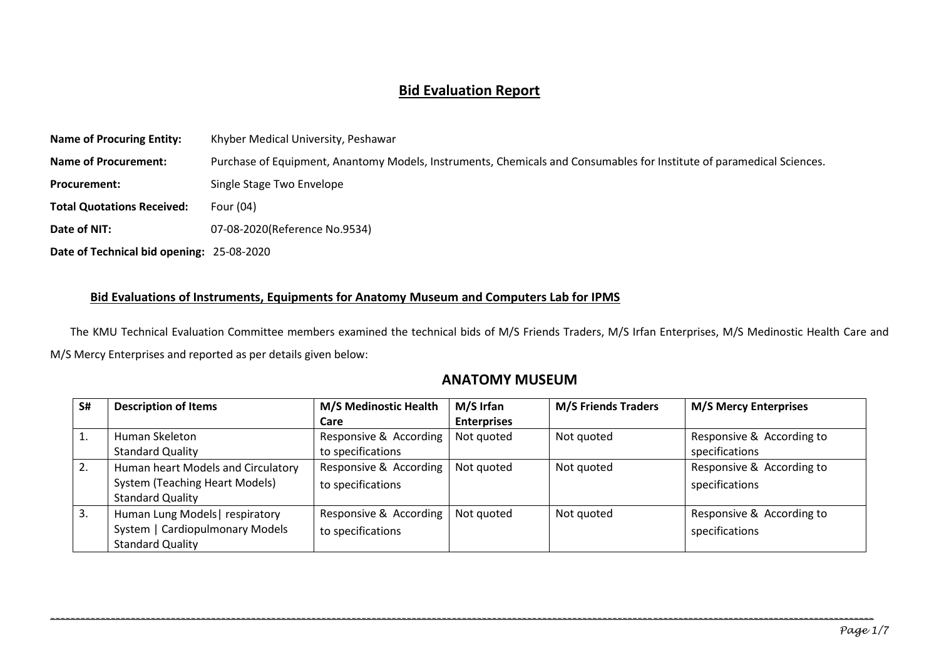#### **Bid Evaluation Report**

| <b>Name of Procuring Entity:</b>          | Khyber Medical University, Peshawar                                                                                   |
|-------------------------------------------|-----------------------------------------------------------------------------------------------------------------------|
| <b>Name of Procurement:</b>               | Purchase of Equipment, Anantomy Models, Instruments, Chemicals and Consumables for Institute of paramedical Sciences. |
| <b>Procurement:</b>                       | Single Stage Two Envelope                                                                                             |
| <b>Total Quotations Received:</b>         | Four (04)                                                                                                             |
| Date of NIT:                              | 07-08-2020(Reference No.9534)                                                                                         |
| Date of Technical bid opening: 25-08-2020 |                                                                                                                       |

#### **Bid Evaluations of Instruments, Equipments for Anatomy Museum and Computers Lab for IPMS**

The KMU Technical Evaluation Committee members examined the technical bids of M/S Friends Traders, M/S Irfan Enterprises, M/S Medinostic Health Care and M/S Mercy Enterprises and reported as per details given below:

#### **ANATOMY MUSEUM**

| S# | <b>Description of Items</b>           | <b>M/S Medinostic Health</b> | M/S Irfan          | <b>M/S Friends Traders</b> | <b>M/S Mercy Enterprises</b> |
|----|---------------------------------------|------------------------------|--------------------|----------------------------|------------------------------|
|    |                                       | Care                         | <b>Enterprises</b> |                            |                              |
|    | Human Skeleton                        | Responsive & According       | Not quoted         | Not quoted                 | Responsive & According to    |
|    | <b>Standard Quality</b>               | to specifications            |                    |                            | specifications               |
| 2. | Human heart Models and Circulatory    | Responsive & According       | Not quoted         | Not quoted                 | Responsive & According to    |
|    | <b>System (Teaching Heart Models)</b> | to specifications            |                    |                            | specifications               |
|    | <b>Standard Quality</b>               |                              |                    |                            |                              |
| 3. | Human Lung Models respiratory         | Responsive & According       | Not quoted         | Not quoted                 | Responsive & According to    |
|    | System   Cardiopulmonary Models       | to specifications            |                    |                            | specifications               |
|    | <b>Standard Quality</b>               |                              |                    |                            |                              |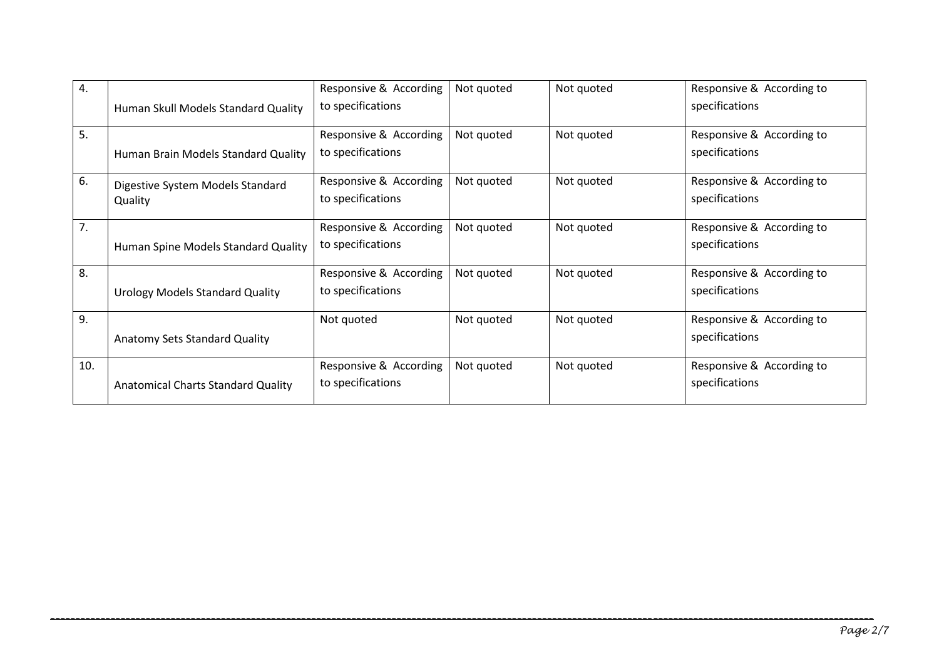| 4.  | Human Skull Models Standard Quality         | Responsive & According<br>to specifications | Not quoted | Not quoted | Responsive & According to<br>specifications |
|-----|---------------------------------------------|---------------------------------------------|------------|------------|---------------------------------------------|
| 5.  | Human Brain Models Standard Quality         | Responsive & According<br>to specifications | Not quoted | Not quoted | Responsive & According to<br>specifications |
| 6.  | Digestive System Models Standard<br>Quality | Responsive & According<br>to specifications | Not quoted | Not quoted | Responsive & According to<br>specifications |
| 7.  | Human Spine Models Standard Quality         | Responsive & According<br>to specifications | Not quoted | Not quoted | Responsive & According to<br>specifications |
| 8.  | Urology Models Standard Quality             | Responsive & According<br>to specifications | Not quoted | Not quoted | Responsive & According to<br>specifications |
| 9.  | Anatomy Sets Standard Quality               | Not quoted                                  | Not quoted | Not quoted | Responsive & According to<br>specifications |
| 10. | <b>Anatomical Charts Standard Quality</b>   | Responsive & According<br>to specifications | Not quoted | Not quoted | Responsive & According to<br>specifications |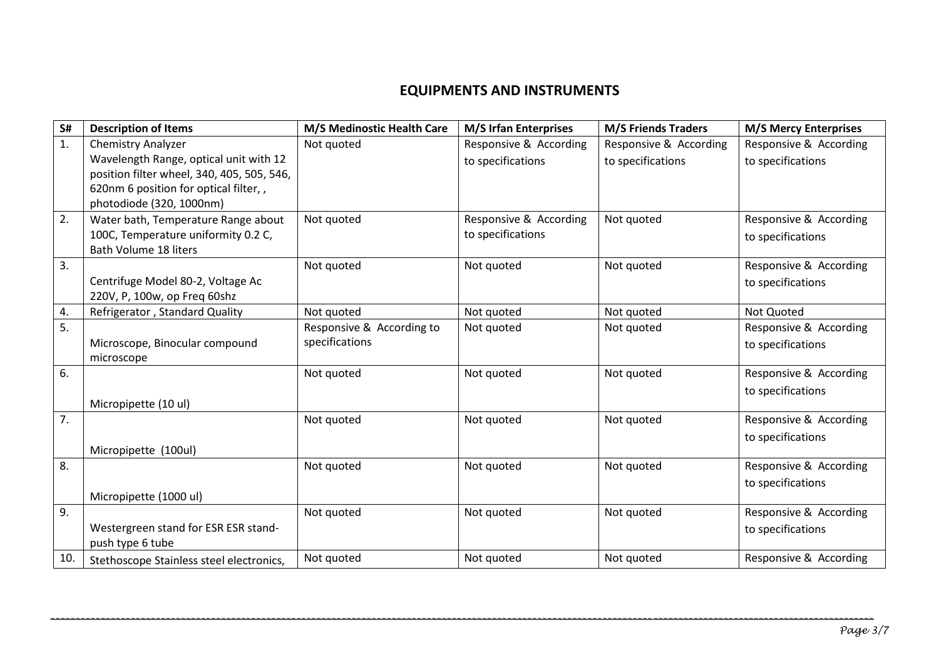## **EQUIPMENTS AND INSTRUMENTS**

| S#  | <b>Description of Items</b>                | M/S Medinostic Health Care | <b>M/S Irfan Enterprises</b> | <b>M/S Friends Traders</b> | <b>M/S Mercy Enterprises</b> |
|-----|--------------------------------------------|----------------------------|------------------------------|----------------------------|------------------------------|
| 1.  | <b>Chemistry Analyzer</b>                  | Not quoted                 | Responsive & According       | Responsive & According     | Responsive & According       |
|     | Wavelength Range, optical unit with 12     |                            | to specifications            | to specifications          | to specifications            |
|     | position filter wheel, 340, 405, 505, 546, |                            |                              |                            |                              |
|     | 620nm 6 position for optical filter,,      |                            |                              |                            |                              |
|     | photodiode (320, 1000nm)                   |                            |                              |                            |                              |
| 2.  | Water bath, Temperature Range about        | Not quoted                 | Responsive & According       | Not quoted                 | Responsive & According       |
|     | 100C, Temperature uniformity 0.2 C,        |                            | to specifications            |                            | to specifications            |
|     | <b>Bath Volume 18 liters</b>               |                            |                              |                            |                              |
| 3.  |                                            | Not quoted                 | Not quoted                   | Not quoted                 | Responsive & According       |
|     | Centrifuge Model 80-2, Voltage Ac          |                            |                              |                            | to specifications            |
|     | 220V, P, 100w, op Freq 60shz               |                            |                              |                            |                              |
| 4.  | Refrigerator, Standard Quality             | Not quoted                 | Not quoted                   | Not quoted                 | Not Quoted                   |
| 5.  |                                            | Responsive & According to  | Not quoted                   | Not quoted                 | Responsive & According       |
|     | Microscope, Binocular compound             | specifications             |                              |                            | to specifications            |
|     | microscope                                 |                            |                              |                            |                              |
| 6.  |                                            | Not quoted                 | Not quoted                   | Not quoted                 | Responsive & According       |
|     |                                            |                            |                              |                            | to specifications            |
|     | Micropipette (10 ul)                       |                            |                              |                            |                              |
| 7.  |                                            | Not quoted                 | Not quoted                   | Not quoted                 | Responsive & According       |
|     |                                            |                            |                              |                            | to specifications            |
|     | Micropipette (100ul)                       |                            |                              |                            |                              |
| 8.  |                                            | Not quoted                 | Not quoted                   | Not quoted                 | Responsive & According       |
|     |                                            |                            |                              |                            | to specifications            |
|     | Micropipette (1000 ul)                     |                            |                              |                            |                              |
| 9.  |                                            | Not quoted                 | Not quoted                   | Not quoted                 | Responsive & According       |
|     | Westergreen stand for ESR ESR stand-       |                            |                              |                            | to specifications            |
|     | push type 6 tube                           |                            |                              |                            |                              |
| 10. | Stethoscope Stainless steel electronics,   | Not quoted                 | Not quoted                   | Not quoted                 | Responsive & According       |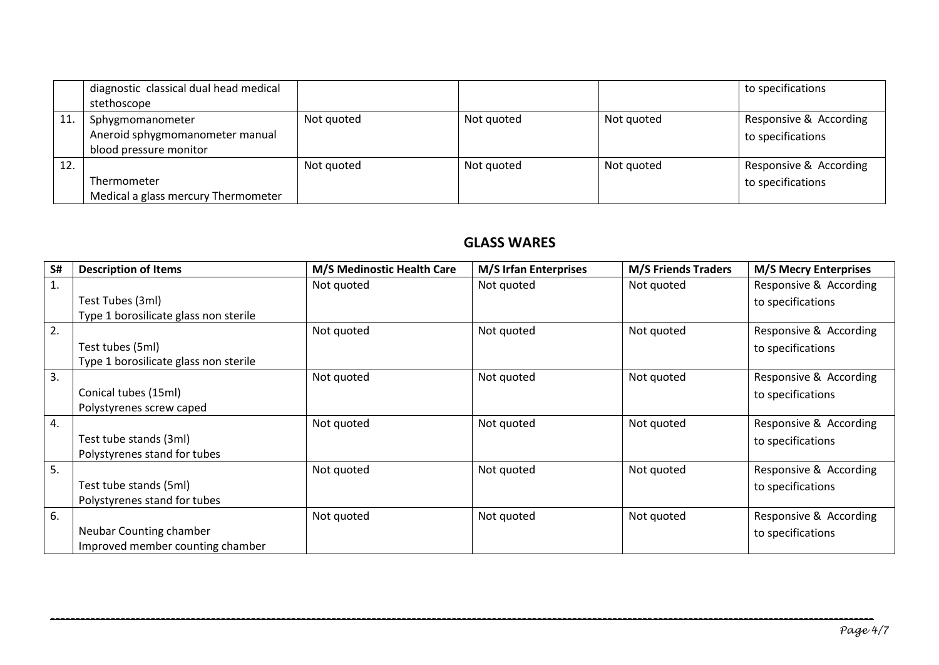|     | diagnostic classical dual head medical<br>stethoscope                         |            |            |            | to specifications                           |
|-----|-------------------------------------------------------------------------------|------------|------------|------------|---------------------------------------------|
| 11  | Sphygmomanometer<br>Aneroid sphygmomanometer manual<br>blood pressure monitor | Not quoted | Not quoted | Not quoted | Responsive & According<br>to specifications |
| 12. | Thermometer<br>Medical a glass mercury Thermometer                            | Not auoted | Not quoted | Not quoted | Responsive & According<br>to specifications |

## **GLASS WARES**

| S# | <b>Description of Items</b>           | M/S Medinostic Health Care | <b>M/S Irfan Enterprises</b> | <b>M/S Friends Traders</b> | <b>M/S Mecry Enterprises</b> |
|----|---------------------------------------|----------------------------|------------------------------|----------------------------|------------------------------|
| 1. |                                       | Not quoted                 | Not quoted                   | Not quoted                 | Responsive & According       |
|    | Test Tubes (3ml)                      |                            |                              |                            | to specifications            |
|    | Type 1 borosilicate glass non sterile |                            |                              |                            |                              |
| 2. |                                       | Not quoted                 | Not quoted                   | Not quoted                 | Responsive & According       |
|    | Test tubes (5ml)                      |                            |                              |                            | to specifications            |
|    | Type 1 borosilicate glass non sterile |                            |                              |                            |                              |
| 3. |                                       | Not quoted                 | Not quoted                   | Not quoted                 | Responsive & According       |
|    | Conical tubes (15ml)                  |                            |                              |                            | to specifications            |
|    | Polystyrenes screw caped              |                            |                              |                            |                              |
| 4. |                                       | Not quoted                 | Not quoted                   | Not quoted                 | Responsive & According       |
|    | Test tube stands (3ml)                |                            |                              |                            | to specifications            |
|    | Polystyrenes stand for tubes          |                            |                              |                            |                              |
| 5. |                                       | Not quoted                 | Not quoted                   | Not quoted                 | Responsive & According       |
|    | Test tube stands (5ml)                |                            |                              |                            | to specifications            |
|    | Polystyrenes stand for tubes          |                            |                              |                            |                              |
| 6. |                                       | Not quoted                 | Not quoted                   | Not quoted                 | Responsive & According       |
|    | Neubar Counting chamber               |                            |                              |                            | to specifications            |
|    | Improved member counting chamber      |                            |                              |                            |                              |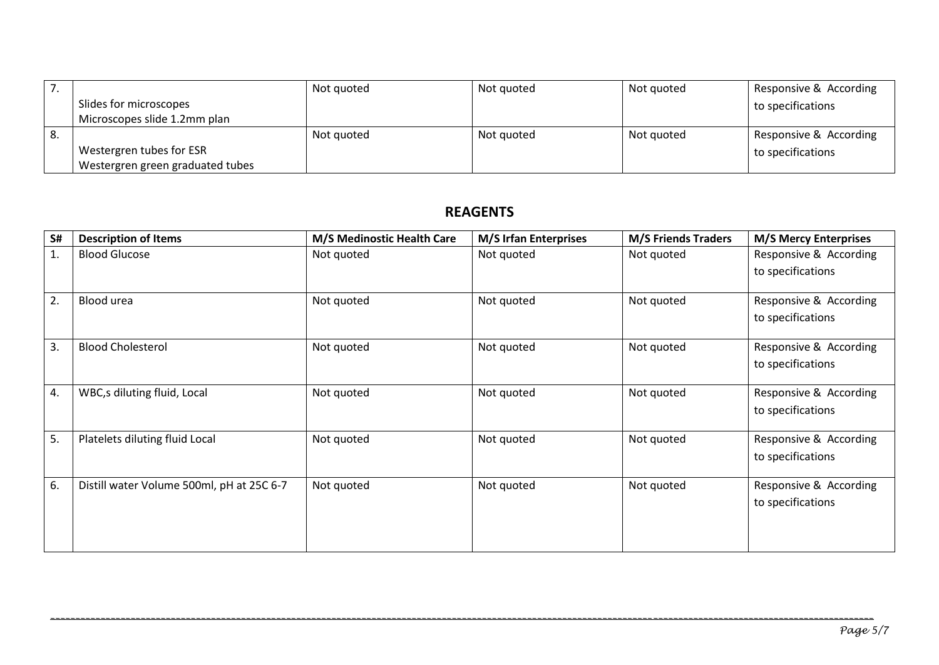|    |                                  | Not quoted | Not quoted | Not quoted | Responsive & According |
|----|----------------------------------|------------|------------|------------|------------------------|
|    | Slides for microscopes           |            |            |            | to specifications      |
|    | Microscopes slide 1.2mm plan     |            |            |            |                        |
| 8. |                                  | Not quoted | Not quoted | Not quoted | Responsive & According |
|    | Westergren tubes for ESR         |            |            |            | to specifications      |
|    | Westergren green graduated tubes |            |            |            |                        |

# **REAGENTS**

| S# | <b>Description of Items</b>               | M/S Medinostic Health Care | <b>M/S Irfan Enterprises</b> | <b>M/S Friends Traders</b> | <b>M/S Mercy Enterprises</b> |
|----|-------------------------------------------|----------------------------|------------------------------|----------------------------|------------------------------|
| 1. | <b>Blood Glucose</b>                      | Not quoted                 | Not quoted                   | Not quoted                 | Responsive & According       |
|    |                                           |                            |                              |                            | to specifications            |
|    |                                           |                            |                              |                            |                              |
| 2. | Blood urea                                | Not quoted                 | Not quoted                   | Not quoted                 | Responsive & According       |
|    |                                           |                            |                              |                            | to specifications            |
|    |                                           |                            |                              |                            |                              |
| 3. | <b>Blood Cholesterol</b>                  | Not quoted                 | Not quoted                   | Not quoted                 | Responsive & According       |
|    |                                           |                            |                              |                            | to specifications            |
|    |                                           |                            |                              |                            |                              |
| 4. | WBC,s diluting fluid, Local               | Not quoted                 | Not quoted                   | Not quoted                 | Responsive & According       |
|    |                                           |                            |                              |                            | to specifications            |
|    |                                           |                            |                              |                            |                              |
| 5. | Platelets diluting fluid Local            | Not quoted                 | Not quoted                   | Not quoted                 | Responsive & According       |
|    |                                           |                            |                              |                            | to specifications            |
|    |                                           |                            |                              |                            |                              |
| 6. | Distill water Volume 500ml, pH at 25C 6-7 | Not quoted                 | Not quoted                   | Not quoted                 | Responsive & According       |
|    |                                           |                            |                              |                            | to specifications            |
|    |                                           |                            |                              |                            |                              |
|    |                                           |                            |                              |                            |                              |
|    |                                           |                            |                              |                            |                              |